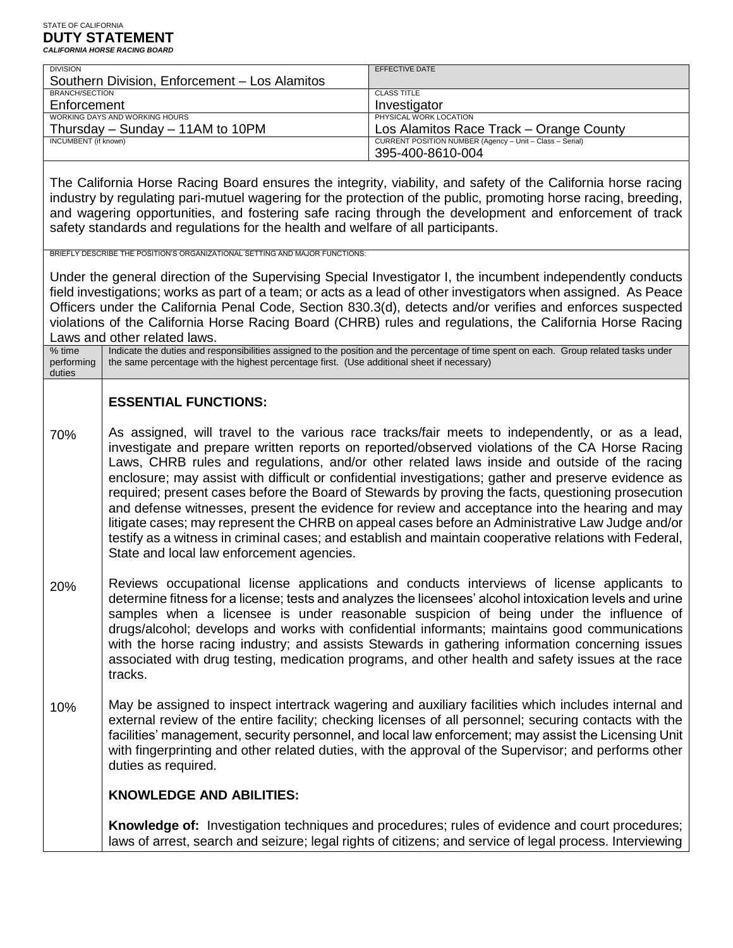| <b>DIVISION</b>                                                                                                                                                                                                                                                                                                                                                                                                                                                                                                                                                          |                                                                                                                                                                                                                                                                                                                                                                                                                                                                                                                                                                                                                                                                                                                                                                                                                                                                                                            | <b>EFFECTIVE DATE</b>                                                                                                                                                                                             |  |  |
|--------------------------------------------------------------------------------------------------------------------------------------------------------------------------------------------------------------------------------------------------------------------------------------------------------------------------------------------------------------------------------------------------------------------------------------------------------------------------------------------------------------------------------------------------------------------------|------------------------------------------------------------------------------------------------------------------------------------------------------------------------------------------------------------------------------------------------------------------------------------------------------------------------------------------------------------------------------------------------------------------------------------------------------------------------------------------------------------------------------------------------------------------------------------------------------------------------------------------------------------------------------------------------------------------------------------------------------------------------------------------------------------------------------------------------------------------------------------------------------------|-------------------------------------------------------------------------------------------------------------------------------------------------------------------------------------------------------------------|--|--|
| <b>BRANCH/SECTION</b>                                                                                                                                                                                                                                                                                                                                                                                                                                                                                                                                                    | Southern Division, Enforcement - Los Alamitos                                                                                                                                                                                                                                                                                                                                                                                                                                                                                                                                                                                                                                                                                                                                                                                                                                                              | <b>CLASS TITLE</b>                                                                                                                                                                                                |  |  |
| Enforcement                                                                                                                                                                                                                                                                                                                                                                                                                                                                                                                                                              |                                                                                                                                                                                                                                                                                                                                                                                                                                                                                                                                                                                                                                                                                                                                                                                                                                                                                                            | Investigator                                                                                                                                                                                                      |  |  |
| WORKING DAYS AND WORKING HOURS                                                                                                                                                                                                                                                                                                                                                                                                                                                                                                                                           |                                                                                                                                                                                                                                                                                                                                                                                                                                                                                                                                                                                                                                                                                                                                                                                                                                                                                                            | PHYSICAL WORK LOCATION                                                                                                                                                                                            |  |  |
| <b>INCUMBENT</b> (if known)                                                                                                                                                                                                                                                                                                                                                                                                                                                                                                                                              | Thursday - Sunday - 11AM to 10PM                                                                                                                                                                                                                                                                                                                                                                                                                                                                                                                                                                                                                                                                                                                                                                                                                                                                           | LOS Alamitos Race Track - Orange County<br>CURRENT POSITION NUMBER (Agency - Unit - Class - Serial)                                                                                                               |  |  |
|                                                                                                                                                                                                                                                                                                                                                                                                                                                                                                                                                                          |                                                                                                                                                                                                                                                                                                                                                                                                                                                                                                                                                                                                                                                                                                                                                                                                                                                                                                            | 395-400-8610-004                                                                                                                                                                                                  |  |  |
| The California Horse Racing Board ensures the integrity, viability, and safety of the California horse racing<br>industry by regulating pari-mutuel wagering for the protection of the public, promoting horse racing, breeding,<br>and wagering opportunities, and fostering safe racing through the development and enforcement of track<br>safety standards and regulations for the health and welfare of all participants.                                                                                                                                           |                                                                                                                                                                                                                                                                                                                                                                                                                                                                                                                                                                                                                                                                                                                                                                                                                                                                                                            |                                                                                                                                                                                                                   |  |  |
| BRIEFLY DESCRIBE THE POSITION'S ORGANIZATIONAL SETTING AND MAJOR FUNCTIONS:<br>Under the general direction of the Supervising Special Investigator I, the incumbent independently conducts<br>field investigations; works as part of a team; or acts as a lead of other investigators when assigned. As Peace<br>Officers under the California Penal Code, Section 830.3(d), detects and/or verifies and enforces suspected<br>violations of the California Horse Racing Board (CHRB) rules and regulations, the California Horse Racing<br>Laws and other related laws. |                                                                                                                                                                                                                                                                                                                                                                                                                                                                                                                                                                                                                                                                                                                                                                                                                                                                                                            |                                                                                                                                                                                                                   |  |  |
| % time<br>performing<br>duties                                                                                                                                                                                                                                                                                                                                                                                                                                                                                                                                           | Indicate the duties and responsibilities assigned to the position and the percentage of time spent on each. Group related tasks under<br>the same percentage with the highest percentage first. (Use additional sheet if necessary)                                                                                                                                                                                                                                                                                                                                                                                                                                                                                                                                                                                                                                                                        |                                                                                                                                                                                                                   |  |  |
| 70%                                                                                                                                                                                                                                                                                                                                                                                                                                                                                                                                                                      | <b>ESSENTIAL FUNCTIONS:</b><br>As assigned, will travel to the various race tracks/fair meets to independently, or as a lead,<br>investigate and prepare written reports on reported/observed violations of the CA Horse Racing<br>Laws, CHRB rules and regulations, and/or other related laws inside and outside of the racing<br>enclosure; may assist with difficult or confidential investigations; gather and preserve evidence as<br>required; present cases before the Board of Stewards by proving the facts, questioning prosecution<br>and defense witnesses, present the evidence for review and acceptance into the hearing and may<br>litigate cases; may represent the CHRB on appeal cases before an Administrative Law Judge and/or<br>testify as a witness in criminal cases; and establish and maintain cooperative relations with Federal,<br>State and local law enforcement agencies. |                                                                                                                                                                                                                   |  |  |
| 20%                                                                                                                                                                                                                                                                                                                                                                                                                                                                                                                                                                      | Reviews occupational license applications and conducts interviews of license applicants to<br>determine fitness for a license; tests and analyzes the licensees' alcohol intoxication levels and urine<br>samples when a licensee is under reasonable suspicion of being under the influence of<br>drugs/alcohol; develops and works with confidential informants; maintains good communications<br>with the horse racing industry; and assists Stewards in gathering information concerning issues<br>associated with drug testing, medication programs, and other health and safety issues at the race<br>tracks.                                                                                                                                                                                                                                                                                        |                                                                                                                                                                                                                   |  |  |
| 10%                                                                                                                                                                                                                                                                                                                                                                                                                                                                                                                                                                      | May be assigned to inspect intertrack wagering and auxiliary facilities which includes internal and<br>external review of the entire facility; checking licenses of all personnel; securing contacts with the<br>facilities' management, security personnel, and local law enforcement; may assist the Licensing Unit<br>with fingerprinting and other related duties, with the approval of the Supervisor; and performs other<br>duties as required.                                                                                                                                                                                                                                                                                                                                                                                                                                                      |                                                                                                                                                                                                                   |  |  |
|                                                                                                                                                                                                                                                                                                                                                                                                                                                                                                                                                                          | <b>KNOWLEDGE AND ABILITIES:</b>                                                                                                                                                                                                                                                                                                                                                                                                                                                                                                                                                                                                                                                                                                                                                                                                                                                                            |                                                                                                                                                                                                                   |  |  |
|                                                                                                                                                                                                                                                                                                                                                                                                                                                                                                                                                                          |                                                                                                                                                                                                                                                                                                                                                                                                                                                                                                                                                                                                                                                                                                                                                                                                                                                                                                            | <b>Knowledge of:</b> Investigation techniques and procedures; rules of evidence and court procedures;<br>laws of arrest, search and seizure; legal rights of citizens; and service of legal process. Interviewing |  |  |